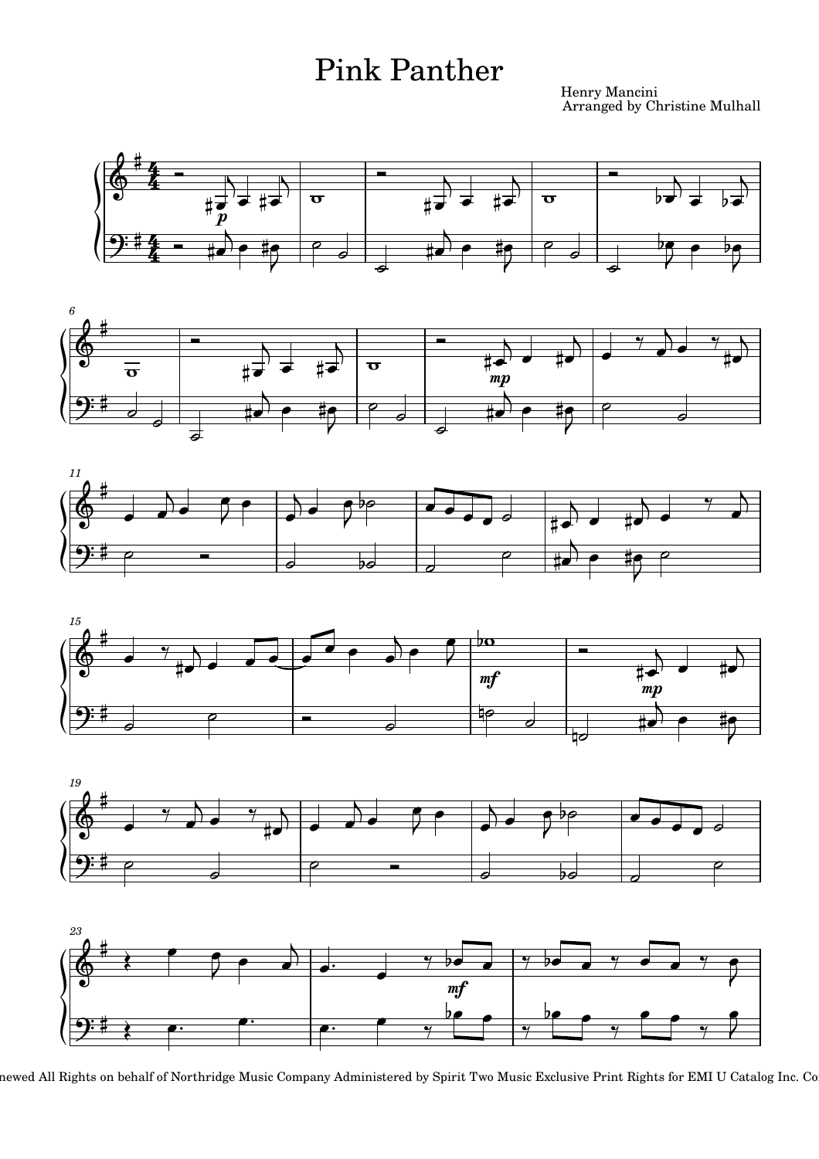## Pink Panther

Henry Mancini Arranged by Christine Mulhall













newed All Rights on behalf of Northridge Music Company Administered by Spirit Two Music Exclusive Print Rights for EMI U Catalog Inc. Co